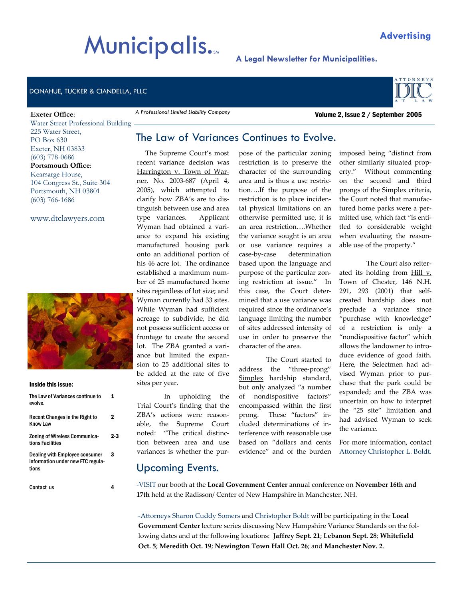# **Municipalis.**

#### DONAHUE, TUCKER & CIANDELLA, PLLC

#### **Exeter Office**:

Water Street Professional Building 225 Water Street, PO Box 630 Exeter, NH 03833 (603) 778-0686 **Portsmouth Office**: Kearsarge House, 104 Congress St., Suite 304 Portsmouth, NH 03801 (603) 766-1686

www.dtclawyers.com



#### Inside this issue:

| The Law of Variances continue to<br>evolve.                                  |     |
|------------------------------------------------------------------------------|-----|
| Recent Changes in the Right to<br>Know I aw                                  | 2   |
| <b>Zoning of Wireless Communica-</b><br>tions Facilities                     | 2.3 |
| Dealing with Employee consumer<br>information under new FTC regula-<br>tions | 3   |
| Contact us                                                                   |     |

## The Law of Variances Continues to Evolve.

 The Supreme Court's most recent variance decision was Harrington v. Town of Warner, No. 2003-687 (April 4, 2005), which attempted to clarify how ZBA's are to distinguish between use and area type variances. Applicant Wyman had obtained a variance to expand his existing manufactured housing park onto an additional portion of his 46 acre lot. The ordinance established a maximum number of 25 manufactured home sites regardless of lot size; and Wyman currently had 33 sites. While Wyman had sufficient acreage to subdivide, he did not possess sufficient access or frontage to create the second lot. The ZBA granted a variance but limited the expansion to 25 additional sites to be added at the rate of five sites per year.

*A Professional Limited Liability Company* 

In upholding the Trial Court's finding that the ZBA's actions were reasonable, the Supreme Court noted: "The critical distinction between area and use variances is whether the purpose of the particular zoning restriction is to preserve the character of the surrounding area and is thus a use restriction….If the purpose of the restriction is to place incidental physical limitations on an otherwise permitted use, it is an area restriction….Whether the variance sought is an area or use variance requires a case-by-case determination based upon the language and purpose of the particular zoning restriction at issue." In this case, the Court determined that a use variance was required since the ordinance's language limiting the number of sites addressed intensity of use in order to preserve the character of the area.

 The Court started to address the "three-prong" Simplex hardship standard, but only analyzed "a number of nondispositive factors" encompassed within the first prong. These "factors" included determinations of interference with reasonable use based on "dollars and cents evidence" and of the burden

imposed being "distinct from other similarly situated property." Without commenting on the second and third prongs of the Simplex criteria, the Court noted that manufactured home parks were a permitted use, which fact "is entitled to considerable weight when evaluating the reasonable use of the property."

 The Court also reiterated its holding from Hill v. Town of Chester, 146 N.H. 291, 293 (2001) that selfcreated hardship does not preclude a variance since "purchase with knowledge" of a restriction is only a "nondispositive factor" which allows the landowner to introduce evidence of good faith. Here, the Selectmen had advised Wyman prior to purchase that the park could be expanded; and the ZBA was uncertain on how to interpret the "25 site" limitation and had advised Wyman to seek the variance.

For more information, contact Attorney Christopher L. Boldt.

#### Upcoming Events.

-VISIT our booth at the **Local Government Center** annual conference on **November 16th and 17th** held at the Radisson/ Center of New Hampshire in Manchester, NH.

-Attorneys Sharon Cuddy Somers and Christopher Boldt will be participating in the **Local Government Center** lecture series discussing New Hampshire Variance Standards on the following dates and at the following locations: **Jaffrey Sept. 21**; **Lebanon Sept. 28**; **Whitefield Oct. 5**; **Meredith Oct. 19**; **Newington Town Hall Oct. 26**; and **Manchester Nov. 2**.

#### **Advertising**

Volume 2, Issue 2 / September 2005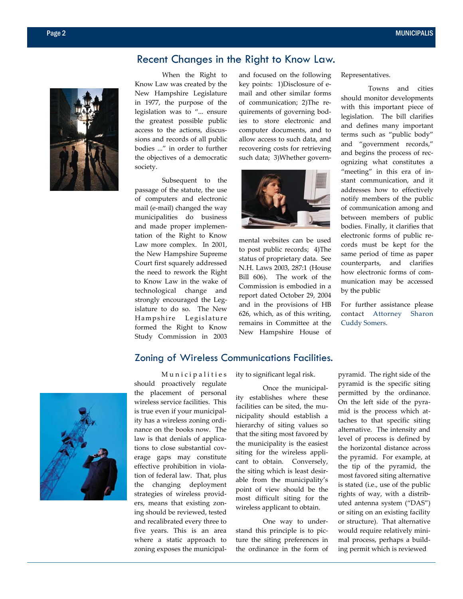## Recent Changes in the Right to Know Law.



 When the Right to Know Law was created by the New Hampshire Legislature in 1977, the purpose of the legislation was to "... ensure the greatest possible public access to the actions, discussions and records of all public bodies ..." in order to further the objectives of a democratic society.

 Subsequent to the passage of the statute, the use of computers and electronic mail (e-mail) changed the way municipalities do business and made proper implementation of the Right to Know Law more complex. In 2001, the New Hampshire Supreme Court first squarely addressed the need to rework the Right to Know Law in the wake of technological change and strongly encouraged the Legislature to do so. The New Hampshire Legislature formed the Right to Know Study Commission in 2003

and focused on the following key points: 1)Disclosure of email and other similar forms of communication; 2)The requirements of governing bodies to store electronic and computer documents, and to allow access to such data, and recovering costs for retrieving such data; 3)Whether govern-



mental websites can be used to post public records; 4)The status of proprietary data. See N.H. Laws 2003, 287:1 (House Bill 606). The work of the Commission is embodied in a report dated October 29, 2004 and in the provisions of HB 626, which, as of this writing, remains in Committee at the New Hampshire House of

Representatives.

 Towns and cities should monitor developments with this important piece of legislation. The bill clarifies and defines many important terms such as "public body" and "government records," and begins the process of recognizing what constitutes a "meeting" in this era of instant communication, and it addresses how to effectively notify members of the public of communication among and between members of public bodies. Finally, it clarifies that electronic forms of public records must be kept for the same period of time as paper counterparts, and clarifies how electronic forms of communication may be accessed by the public

For further assistance please contact Attorney Sharon Cuddy Somers.

#### Zoning of Wireless Communications Facilities.



Municipalities should proactively regulate the placement of personal wireless service facilities. This is true even if your municipality has a wireless zoning ordinance on the books now. The law is that denials of applications to close substantial coverage gaps may constitute effective prohibition in violation of federal law. That, plus the changing deployment strategies of wireless providers, means that existing zoning should be reviewed, tested and recalibrated every three to five years. This is an area where a static approach to zoning exposes the municipal-

ity to significant legal risk.

 Once the municipality establishes where these facilities can be sited, the municipality should establish a hierarchy of siting values so that the siting most favored by the municipality is the easiest siting for the wireless applicant to obtain. Conversely, the siting which is least desirable from the municipality's point of view should be the most difficult siting for the wireless applicant to obtain.

 One way to understand this principle is to picture the siting preferences in the ordinance in the form of pyramid. The right side of the pyramid is the specific siting permitted by the ordinance. On the left side of the pyramid is the process which attaches to that specific siting alternative. The intensity and level of process is defined by the horizontal distance across the pyramid. For example, at the tip of the pyramid, the most favored siting alternative is stated (i.e., use of the public rights of way, with a distributed antenna system ("DAS") or siting on an existing facility or structure). That alternative would require relatively minimal process, perhaps a building permit which is reviewed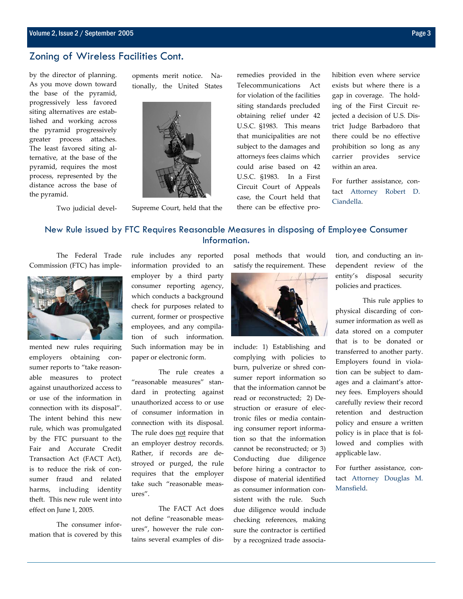#### Zoning of Wireless Facilities Cont.

by the director of planning. As you move down toward the base of the pyramid, progressively less favored siting alternatives are established and working across the pyramid progressively greater process attaches. The least favored siting alternative, at the base of the pyramid, requires the most process, represented by the distance across the base of the pyramid.

opments merit notice. Nationally, the United States



Two judicial devel-

Supreme Court, held that the

remedies provided in the Telecommunications Act for violation of the facilities siting standards precluded obtaining relief under 42 U.S.C. §1983. This means that municipalities are not subject to the damages and attorneys fees claims which could arise based on 42 U.S.C. §1983. In a First Circuit Court of Appeals case, the Court held that there can be effective prohibition even where service exists but where there is a gap in coverage. The holding of the First Circuit rejected a decision of U.S. District Judge Barbadoro that there could be no effective prohibition so long as any carrier provides service within an area.

For further assistance, contact Attorney Robert D. Ciandella.

#### New Rule issued by FTC Requires Reasonable Measures in disposing of Employee Consumer Information.

 The Federal Trade Commission (FTC) has imple-



mented new rules requiring employers obtaining consumer reports to "take reasonable measures to protect against unauthorized access to or use of the information in connection with its disposal". The intent behind this new rule, which was promulgated by the FTC pursuant to the Fair and Accurate Credit Transaction Act (FACT Act), is to reduce the risk of consumer fraud and related harms, including identity theft. This new rule went into effect on June 1, 2005.

 The consumer information that is covered by this rule includes any reported information provided to an employer by a third party consumer reporting agency, which conducts a background check for purposes related to current, former or prospective employees, and any compilation of such information. Such information may be in paper or electronic form.

 The rule creates a "reasonable measures" standard in protecting against unauthorized access to or use of consumer information in connection with its disposal. The rule does not require that an employer destroy records. Rather, if records are destroyed or purged, the rule requires that the employer take such "reasonable measures".

 The FACT Act does not define "reasonable measures", however the rule contains several examples of disposal methods that would satisfy the requirement. These



include: 1) Establishing and complying with policies to burn, pulverize or shred consumer report information so that the information cannot be read or reconstructed; 2) Destruction or erasure of electronic files or media containing consumer report information so that the information cannot be reconstructed; or 3) Conducting due diligence before hiring a contractor to dispose of material identified as consumer information consistent with the rule. Such due diligence would include checking references, making sure the contractor is certified by a recognized trade association, and conducting an independent review of the entity's disposal security policies and practices.

 This rule applies to physical discarding of consumer information as well as data stored on a computer that is to be donated or transferred to another party. Employers found in violation can be subject to damages and a claimant's attorney fees. Employers should carefully review their record retention and destruction policy and ensure a written policy is in place that is followed and complies with applicable law.

For further assistance, contact Attorney Douglas M. Mansfield.